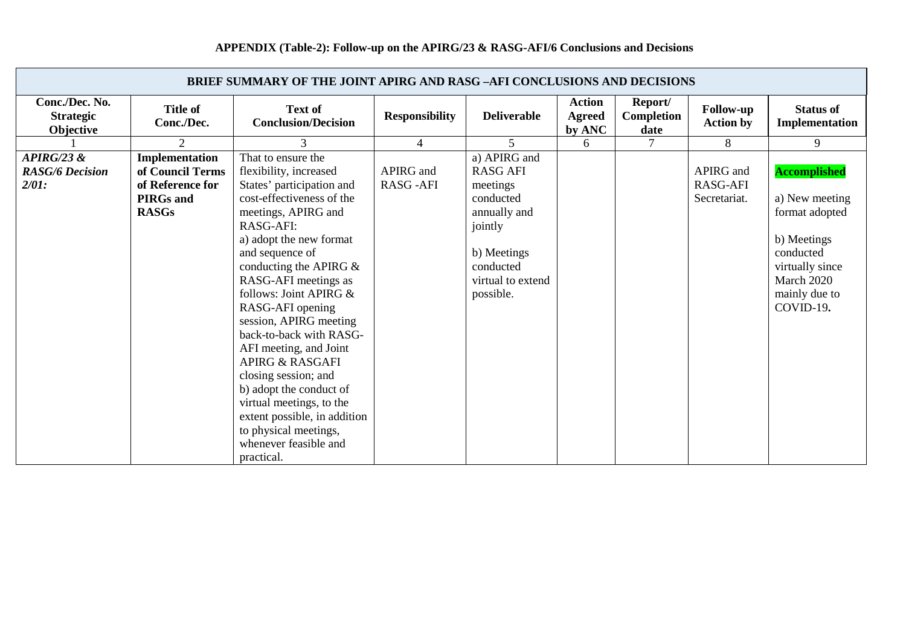## **APPENDIX (Table-2): Follow-up on the APIRG/23 & RASG-AFI/6 Conclusions and Decisions**

| <b>BRIEF SUMMARY OF THE JOINT APIRG AND RASG -AFI CONCLUSIONS AND DECISIONS</b>                                                             |                                                                                                                                                                                                                                                                                                                                                                                                                                                                                                                                                                          |                              |                                                                                                                                                   |                                   |                               |                                              |                                                                                                                                                    |  |  |
|---------------------------------------------------------------------------------------------------------------------------------------------|--------------------------------------------------------------------------------------------------------------------------------------------------------------------------------------------------------------------------------------------------------------------------------------------------------------------------------------------------------------------------------------------------------------------------------------------------------------------------------------------------------------------------------------------------------------------------|------------------------------|---------------------------------------------------------------------------------------------------------------------------------------------------|-----------------------------------|-------------------------------|----------------------------------------------|----------------------------------------------------------------------------------------------------------------------------------------------------|--|--|
| Conc./Dec. No.<br><b>Title of</b><br><b>Strategic</b><br>Conc./Dec.<br>Objective                                                            | <b>Text of</b><br><b>Conclusion/Decision</b>                                                                                                                                                                                                                                                                                                                                                                                                                                                                                                                             | <b>Responsibility</b>        | <b>Deliverable</b>                                                                                                                                | <b>Action</b><br>Agreed<br>by ANC | Report/<br>Completion<br>date | <b>Follow-up</b><br><b>Action by</b>         | <b>Status of</b><br>Implementation                                                                                                                 |  |  |
| 2                                                                                                                                           | 3                                                                                                                                                                                                                                                                                                                                                                                                                                                                                                                                                                        | $\overline{4}$               | $\overline{\mathcal{L}}$                                                                                                                          | 6                                 | 7                             | 8                                            | 9                                                                                                                                                  |  |  |
| APIRG/23 &<br>Implementation<br>of Council Terms<br><b>RASG/6 Decision</b><br>of Reference for<br>2/01:<br><b>PIRGs</b> and<br><b>RASGs</b> | That to ensure the<br>flexibility, increased<br>States' participation and<br>cost-effectiveness of the<br>meetings, APIRG and<br>RASG-AFI:<br>a) adopt the new format<br>and sequence of<br>conducting the APIRG $&$<br>RASG-AFI meetings as<br>follows: Joint APIRG &<br>RASG-AFI opening<br>session, APIRG meeting<br>back-to-back with RASG-<br>AFI meeting, and Joint<br><b>APIRG &amp; RASGAFI</b><br>closing session; and<br>b) adopt the conduct of<br>virtual meetings, to the<br>extent possible, in addition<br>to physical meetings,<br>whenever feasible and | APIRG and<br><b>RASG-AFI</b> | a) APIRG and<br><b>RASG AFI</b><br>meetings<br>conducted<br>annually and<br>jointly<br>b) Meetings<br>conducted<br>virtual to extend<br>possible. |                                   |                               | APIRG and<br><b>RASG-AFI</b><br>Secretariat. | <b>Accomplished</b><br>a) New meeting<br>format adopted<br>b) Meetings<br>conducted<br>virtually since<br>March 2020<br>mainly due to<br>COVID-19. |  |  |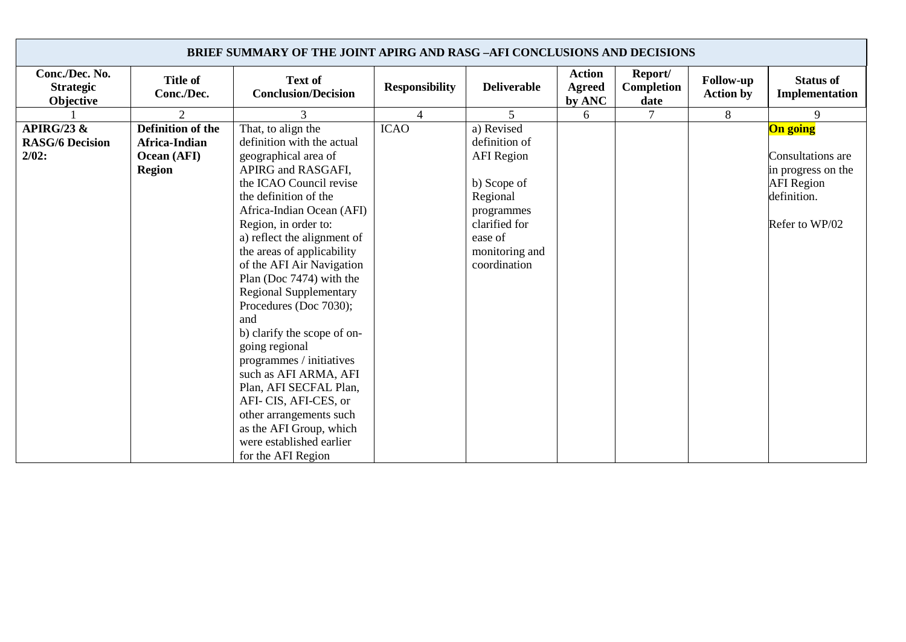| <b>BRIEF SUMMARY OF THE JOINT APIRG AND RASG -AFI CONCLUSIONS AND DECISIONS</b> |                                                                           |                                                                                                                                                                                                                                                                                                                                                                                                                                                                                                                                                                                                               |                       |                                                                                                                                                         |                                          |                               |                                      |                                                                                                                  |  |
|---------------------------------------------------------------------------------|---------------------------------------------------------------------------|---------------------------------------------------------------------------------------------------------------------------------------------------------------------------------------------------------------------------------------------------------------------------------------------------------------------------------------------------------------------------------------------------------------------------------------------------------------------------------------------------------------------------------------------------------------------------------------------------------------|-----------------------|---------------------------------------------------------------------------------------------------------------------------------------------------------|------------------------------------------|-------------------------------|--------------------------------------|------------------------------------------------------------------------------------------------------------------|--|
| Conc./Dec. No.<br><b>Strategic</b><br>Objective                                 | <b>Title of</b><br>Conc./Dec.                                             | Text of<br><b>Conclusion/Decision</b>                                                                                                                                                                                                                                                                                                                                                                                                                                                                                                                                                                         | <b>Responsibility</b> | <b>Deliverable</b>                                                                                                                                      | <b>Action</b><br><b>Agreed</b><br>by ANC | Report/<br>Completion<br>date | <b>Follow-up</b><br><b>Action by</b> | <b>Status of</b><br>Implementation                                                                               |  |
|                                                                                 | $\overline{2}$                                                            | 3                                                                                                                                                                                                                                                                                                                                                                                                                                                                                                                                                                                                             | 4                     | 5                                                                                                                                                       | 6                                        | 7                             | 8                                    | 9                                                                                                                |  |
| APIRG/23 $\&$<br><b>RASG/6 Decision</b><br>$2/02$ :                             | <b>Definition of the</b><br>Africa-Indian<br>Ocean (AFI)<br><b>Region</b> | That, to align the<br>definition with the actual<br>geographical area of<br>APIRG and RASGAFI,<br>the ICAO Council revise<br>the definition of the<br>Africa-Indian Ocean (AFI)<br>Region, in order to:<br>a) reflect the alignment of<br>the areas of applicability<br>of the AFI Air Navigation<br>Plan (Doc 7474) with the<br><b>Regional Supplementary</b><br>Procedures (Doc 7030);<br>and<br>b) clarify the scope of on-<br>going regional<br>programmes / initiatives<br>such as AFI ARMA, AFI<br>Plan, AFI SECFAL Plan,<br>AFI-CIS, AFI-CES, or<br>other arrangements such<br>as the AFI Group, which | <b>ICAO</b>           | a) Revised<br>definition of<br><b>AFI</b> Region<br>b) Scope of<br>Regional<br>programmes<br>clarified for<br>ease of<br>monitoring and<br>coordination |                                          |                               |                                      | <b>On going</b><br>Consultations are<br>in progress on the<br><b>AFI</b> Region<br>definition.<br>Refer to WP/02 |  |
|                                                                                 |                                                                           | were established earlier<br>for the AFI Region                                                                                                                                                                                                                                                                                                                                                                                                                                                                                                                                                                |                       |                                                                                                                                                         |                                          |                               |                                      |                                                                                                                  |  |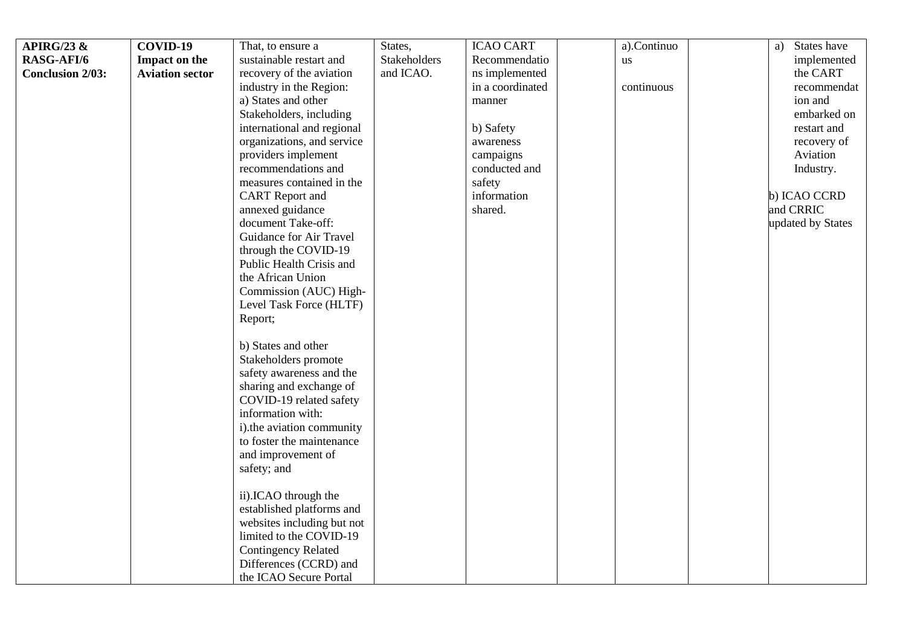| <b>APIRG/23 &amp;</b>   | COVID-19               | That, to ensure a          | States,      | <b>ICAO CART</b> | a).Continuo | States have<br>a) |
|-------------------------|------------------------|----------------------------|--------------|------------------|-------------|-------------------|
| <b>RASG-AFI/6</b>       | Impact on the          | sustainable restart and    | Stakeholders | Recommendatio    | <b>us</b>   | implemented       |
| <b>Conclusion 2/03:</b> | <b>Aviation sector</b> | recovery of the aviation   | and ICAO.    | ns implemented   |             | the CART          |
|                         |                        | industry in the Region:    |              | in a coordinated | continuous  | recommendat       |
|                         |                        | a) States and other        |              | manner           |             | ion and           |
|                         |                        | Stakeholders, including    |              |                  |             | embarked on       |
|                         |                        | international and regional |              | b) Safety        |             | restart and       |
|                         |                        | organizations, and service |              | awareness        |             | recovery of       |
|                         |                        | providers implement        |              | campaigns        |             | Aviation          |
|                         |                        | recommendations and        |              | conducted and    |             | Industry.         |
|                         |                        | measures contained in the  |              | safety           |             |                   |
|                         |                        | <b>CART</b> Report and     |              | information      |             | b) ICAO CCRD      |
|                         |                        | annexed guidance           |              | shared.          |             | and CRRIC         |
|                         |                        | document Take-off:         |              |                  |             | updated by States |
|                         |                        | Guidance for Air Travel    |              |                  |             |                   |
|                         |                        | through the COVID-19       |              |                  |             |                   |
|                         |                        | Public Health Crisis and   |              |                  |             |                   |
|                         |                        | the African Union          |              |                  |             |                   |
|                         |                        | Commission (AUC) High-     |              |                  |             |                   |
|                         |                        | Level Task Force (HLTF)    |              |                  |             |                   |
|                         |                        | Report;                    |              |                  |             |                   |
|                         |                        |                            |              |                  |             |                   |
|                         |                        | b) States and other        |              |                  |             |                   |
|                         |                        | Stakeholders promote       |              |                  |             |                   |
|                         |                        | safety awareness and the   |              |                  |             |                   |
|                         |                        | sharing and exchange of    |              |                  |             |                   |
|                         |                        | COVID-19 related safety    |              |                  |             |                   |
|                         |                        | information with:          |              |                  |             |                   |
|                         |                        | i).the aviation community  |              |                  |             |                   |
|                         |                        | to foster the maintenance  |              |                  |             |                   |
|                         |                        | and improvement of         |              |                  |             |                   |
|                         |                        | safety; and                |              |                  |             |                   |
|                         |                        | ii).ICAO through the       |              |                  |             |                   |
|                         |                        | established platforms and  |              |                  |             |                   |
|                         |                        | websites including but not |              |                  |             |                   |
|                         |                        | limited to the COVID-19    |              |                  |             |                   |
|                         |                        | <b>Contingency Related</b> |              |                  |             |                   |
|                         |                        | Differences (CCRD) and     |              |                  |             |                   |
|                         |                        | the ICAO Secure Portal     |              |                  |             |                   |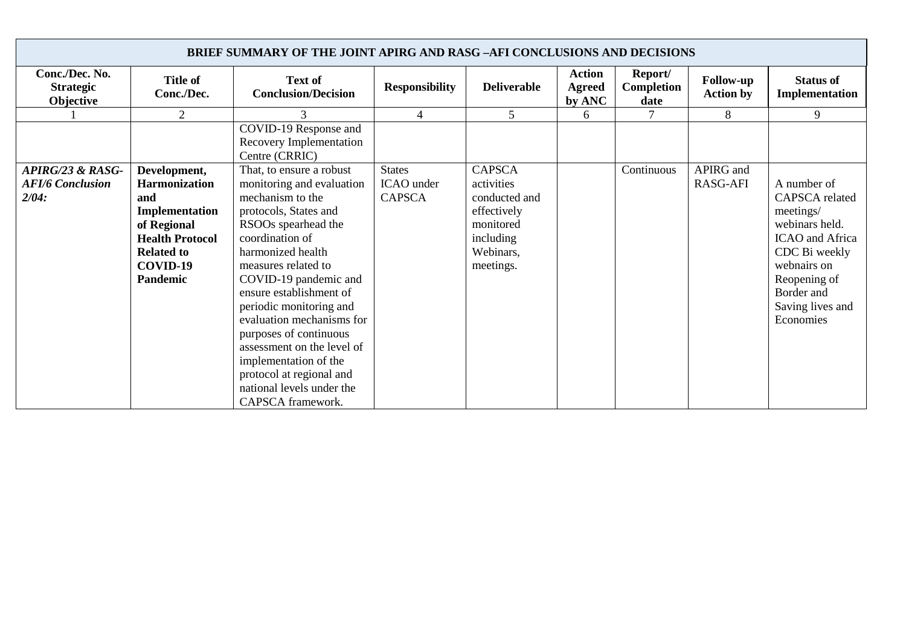| <b>BRIEF SUMMARY OF THE JOINT APIRG AND RASG -AFI CONCLUSIONS AND DECISIONS</b> |                                                                                                                                                     |                                                                                                                                                                                                                                              |                                              |                                                                                                                 |                                          |                               |                                      |                                                                                                                                               |  |
|---------------------------------------------------------------------------------|-----------------------------------------------------------------------------------------------------------------------------------------------------|----------------------------------------------------------------------------------------------------------------------------------------------------------------------------------------------------------------------------------------------|----------------------------------------------|-----------------------------------------------------------------------------------------------------------------|------------------------------------------|-------------------------------|--------------------------------------|-----------------------------------------------------------------------------------------------------------------------------------------------|--|
| Conc./Dec. No.<br><b>Strategic</b><br>Objective                                 | <b>Title of</b><br>Conc./Dec.                                                                                                                       | <b>Text of</b><br><b>Conclusion/Decision</b>                                                                                                                                                                                                 | <b>Responsibility</b>                        | <b>Deliverable</b>                                                                                              | <b>Action</b><br><b>Agreed</b><br>by ANC | Report/<br>Completion<br>date | <b>Follow-up</b><br><b>Action by</b> | <b>Status of</b><br>Implementation                                                                                                            |  |
|                                                                                 | 2                                                                                                                                                   |                                                                                                                                                                                                                                              | $\overline{4}$                               | 5                                                                                                               | 6                                        |                               | 8                                    | 9                                                                                                                                             |  |
|                                                                                 |                                                                                                                                                     | COVID-19 Response and<br>Recovery Implementation<br>Centre (CRRIC)                                                                                                                                                                           |                                              |                                                                                                                 |                                          |                               |                                      |                                                                                                                                               |  |
| APIRG/23 & RASG-<br><b>AFI/6 Conclusion</b><br>2/04:                            | Development,<br><b>Harmonization</b><br>and<br>Implementation<br>of Regional<br><b>Health Protocol</b><br><b>Related to</b><br>COVID-19<br>Pandemic | That, to ensure a robust<br>monitoring and evaluation<br>mechanism to the<br>protocols, States and<br>RSOOs spearhead the<br>coordination of<br>harmonized health<br>measures related to<br>COVID-19 pandemic and<br>ensure establishment of | <b>States</b><br>ICAO under<br><b>CAPSCA</b> | <b>CAPSCA</b><br>activities<br>conducted and<br>effectively<br>monitored<br>including<br>Webinars,<br>meetings. |                                          | Continuous                    | APIRG and<br>RASG-AFI                | A number of<br>CAPSCA related<br>meetings/<br>webinars held.<br>ICAO and Africa<br>CDC Bi weekly<br>webnairs on<br>Reopening of<br>Border and |  |
|                                                                                 |                                                                                                                                                     | periodic monitoring and<br>evaluation mechanisms for<br>purposes of continuous<br>assessment on the level of<br>implementation of the<br>protocol at regional and<br>national levels under the<br>CAPSCA framework.                          |                                              |                                                                                                                 |                                          |                               |                                      | Saving lives and<br>Economies                                                                                                                 |  |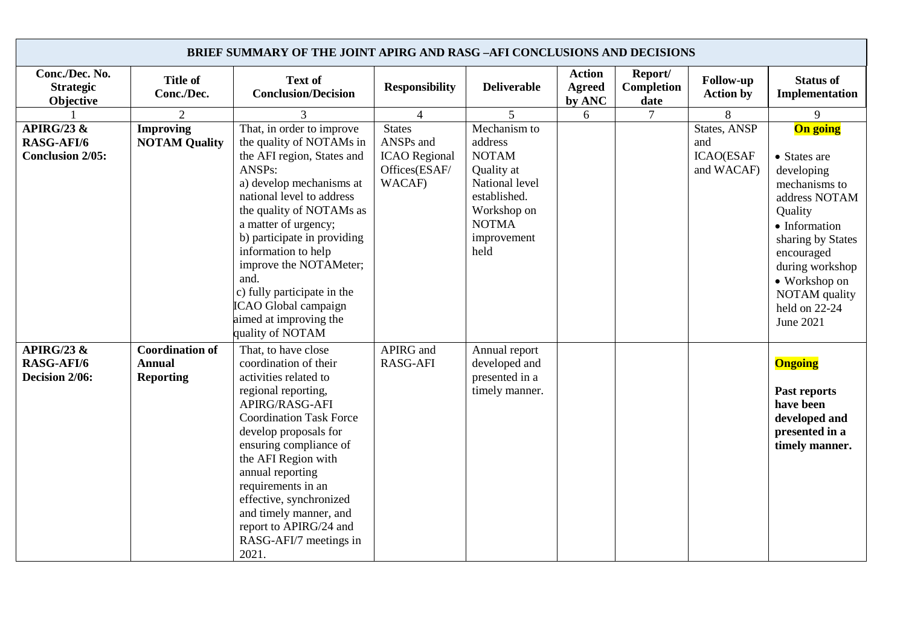| <b>BRIEF SUMMARY OF THE JOINT APIRG AND RASG -AFI CONCLUSIONS AND DECISIONS</b> |                                                             |                                                                                                                                                                                                                                                                                                                                                                                                         |                                                                               |                                                                                                                                               |                                          |                               |                                                       |                                                                                                                                                                                                                            |  |
|---------------------------------------------------------------------------------|-------------------------------------------------------------|---------------------------------------------------------------------------------------------------------------------------------------------------------------------------------------------------------------------------------------------------------------------------------------------------------------------------------------------------------------------------------------------------------|-------------------------------------------------------------------------------|-----------------------------------------------------------------------------------------------------------------------------------------------|------------------------------------------|-------------------------------|-------------------------------------------------------|----------------------------------------------------------------------------------------------------------------------------------------------------------------------------------------------------------------------------|--|
| Conc./Dec. No.<br><b>Strategic</b><br>Objective                                 | <b>Title of</b><br>Conc./Dec.                               | <b>Text of</b><br><b>Conclusion/Decision</b>                                                                                                                                                                                                                                                                                                                                                            | <b>Responsibility</b>                                                         | <b>Deliverable</b>                                                                                                                            | <b>Action</b><br><b>Agreed</b><br>by ANC | Report/<br>Completion<br>date | <b>Follow-up</b><br><b>Action by</b>                  | <b>Status of</b><br>Implementation                                                                                                                                                                                         |  |
|                                                                                 | 2                                                           | 3                                                                                                                                                                                                                                                                                                                                                                                                       | $\overline{4}$                                                                | 5                                                                                                                                             | 6                                        | $\tau$                        | 8                                                     | 9                                                                                                                                                                                                                          |  |
| APIRG/23 $\&$<br><b>RASG-AFI/6</b><br><b>Conclusion 2/05:</b>                   | <b>Improving</b><br><b>NOTAM Quality</b>                    | That, in order to improve<br>the quality of NOTAMs in<br>the AFI region, States and<br>ANSPs:<br>a) develop mechanisms at<br>national level to address<br>the quality of NOTAMs as<br>a matter of urgency;<br>b) participate in providing<br>information to help<br>improve the NOTAMeter;<br>and.<br>c) fully participate in the<br>ICAO Global campaign<br>aimed at improving the<br>quality of NOTAM | <b>States</b><br>ANSPs and<br><b>ICAO</b> Regional<br>Offices(ESAF/<br>WACAF) | Mechanism to<br>address<br><b>NOTAM</b><br>Quality at<br>National level<br>established.<br>Workshop on<br><b>NOTMA</b><br>improvement<br>held |                                          |                               | States, ANSP<br>and<br><b>ICAO(ESAF</b><br>and WACAF) | On going<br>• States are<br>developing<br>mechanisms to<br>address NOTAM<br>Quality<br>• Information<br>sharing by States<br>encouraged<br>during workshop<br>• Workshop on<br>NOTAM quality<br>held on 22-24<br>June 2021 |  |
| APIRG/23 $\&$<br><b>RASG-AFI/6</b><br>Decision 2/06:                            | <b>Coordination of</b><br><b>Annual</b><br><b>Reporting</b> | That, to have close<br>coordination of their<br>activities related to<br>regional reporting,<br>APIRG/RASG-AFI<br><b>Coordination Task Force</b><br>develop proposals for<br>ensuring compliance of<br>the AFI Region with<br>annual reporting<br>requirements in an<br>effective, synchronized<br>and timely manner, and<br>report to APIRG/24 and<br>RASG-AFI/7 meetings in<br>2021.                  | APIRG and<br><b>RASG-AFI</b>                                                  | Annual report<br>developed and<br>presented in a<br>timely manner.                                                                            |                                          |                               |                                                       | <b>Ongoing</b><br>Past reports<br>have been<br>developed and<br>presented in a<br>timely manner.                                                                                                                           |  |